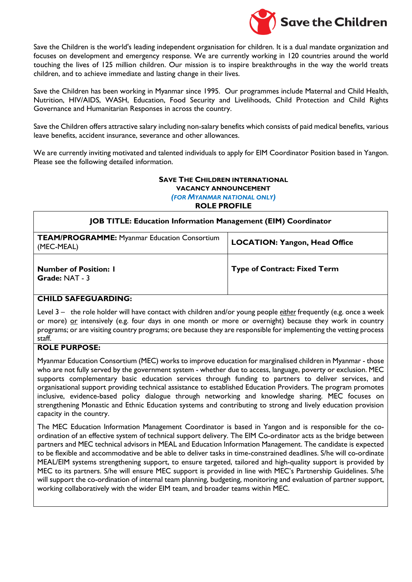

Save the Children is the world's leading independent organisation for children. It is a dual mandate organization and focuses on development and emergency response. We are currently working in 120 countries around the world touching the lives of 125 million children. Our mission is to inspire breakthroughs in the way the world treats children, and to achieve immediate and lasting change in their lives.

Save the Children has been working in Myanmar since 1995. Our programmes include Maternal and Child Health, Nutrition, HIV/AIDS, WASH, Education, Food Security and Livelihoods, Child Protection and Child Rights Governance and Humanitarian Responses in across the country.

Save the Children offers attractive salary including non-salary benefits which consists of paid medical benefits, various leave benefits, accident insurance, severance and other allowances.

We are currently inviting motivated and talented individuals to apply for EIM Coordinator Position based in Yangon. Please see the following detailed information.

# **SAVE THE CHILDREN INTERNATIONAL VACANCY ANNOUNCEMENT**

*(FOR MYANMAR NATIONAL ONLY)*

**ROLE PROFILE**

| <b>JOB TITLE: Education Information Management (EIM) Coordinator</b> |                                      |
|----------------------------------------------------------------------|--------------------------------------|
| <b>TEAM/PROGRAMME: Myanmar Education Consortium</b><br>(MEC-MEAL)    | <b>LOCATION: Yangon, Head Office</b> |
| <b>Number of Position: I</b><br>Grade: NAT - 3                       | <b>Type of Contract: Fixed Term</b>  |

## **CHILD SAFEGUARDING:**

Level 3 – the role holder will have contact with children and/or young people *either* frequently (e.g. once a week or more) or intensively (e.g. four days in one month or more or overnight) because they work in country programs; or are visiting country programs; ore because they are responsible for implementing the vetting process staff.

# **ROLE PURPOSE:**

Myanmar Education Consortium (MEC) works to improve education for marginalised children in Myanmar - those who are not fully served by the government system - whether due to access, language, poverty or exclusion. MEC supports complementary basic education services through funding to partners to deliver services, and organisational support providing technical assistance to established Education Providers. The program promotes inclusive, evidence-based policy dialogue through networking and knowledge sharing. MEC focuses on strengthening Monastic and Ethnic Education systems and contributing to strong and lively education provision capacity in the country.

The MEC Education Information Management Coordinator is based in Yangon and is responsible for the coordination of an effective system of technical support delivery. The EIM Co-ordinator acts as the bridge between partners and MEC technical advisors in MEAL and Education Information Management. The candidate is expected to be flexible and accommodative and be able to deliver tasks in time-constrained deadlines. S/he will co-ordinate MEAL/EIM systems strengthening support, to ensure targeted, tailored and high-quality support is provided by MEC to its partners. S/he will ensure MEC support is provided in line with MEC's Partnership Guidelines. S/he will support the co-ordination of internal team planning, budgeting, monitoring and evaluation of partner support, working collaboratively with the wider EIM team, and broader teams within MEC.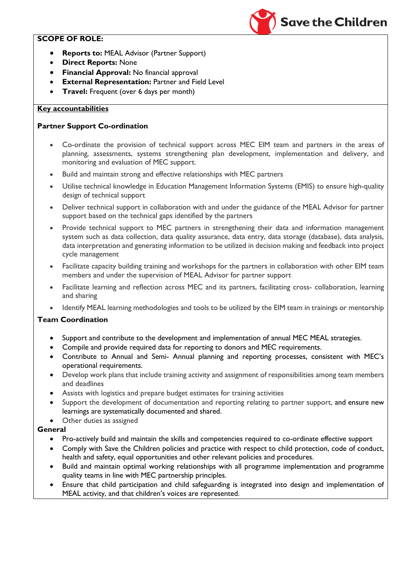# **SCOPE OF ROLE:**

- **Reports to:** MEAL Advisor (Partner Support)
- **Direct Reports:** None
- **Financial Approval:** No financial approval
- **External Representation: Partner and Field Level**
- **Travel:** Frequent (over 6 days per month)

## **Key accountabilities**

## **Partner Support Co-ordination**

 Co-ordinate the provision of technical support across MEC EIM team and partners in the areas of planning, assessments, systems strengthening plan development, implementation and delivery, and monitoring and evaluation of MEC support.

**Save the Children** 

- Build and maintain strong and effective relationships with MEC partners
- Utilise technical knowledge in Education Management Information Systems (EMIS) to ensure high-quality design of technical support
- Deliver technical support in collaboration with and under the guidance of the MEAL Advisor for partner support based on the technical gaps identified by the partners
- Provide technical support to MEC partners in strengthening their data and information management system such as data collection, data quality assurance, data entry, data storage (database), data analysis, data interpretation and generating information to be utilized in decision making and feedback into project cycle management
- Facilitate capacity building training and workshops for the partners in collaboration with other EIM team members and under the supervision of MEAL Advisor for partner support
- Facilitate learning and reflection across MEC and its partners, facilitating cross- collaboration, learning and sharing
- Identify MEAL learning methodologies and tools to be utilized by the EIM team in trainings or mentorship

## **Team Coordination**

- Support and contribute to the development and implementation of annual MEC MEAL strategies.
- Compile and provide required data for reporting to donors and MEC requirements.
- Contribute to Annual and Semi- Annual planning and reporting processes, consistent with MEC's operational requirements.
- Develop work plans that include training activity and assignment of responsibilities among team members and deadlines
- Assists with logistics and prepare budget estimates for training activities
- Support the development of documentation and reporting relating to partner support, and ensure new learnings are systematically documented and shared.
- Other duties as assigned

## **General**

- Pro-actively build and maintain the skills and competencies required to co-ordinate effective support
- Comply with Save the Children policies and practice with respect to child protection, code of conduct, health and safety, equal opportunities and other relevant policies and procedures.
- Build and maintain optimal working relationships with all programme implementation and programme quality teams in line with MEC partnership principles.
- Ensure that child participation and child safeguarding is integrated into design and implementation of MEAL activity, and that children's voices are represented.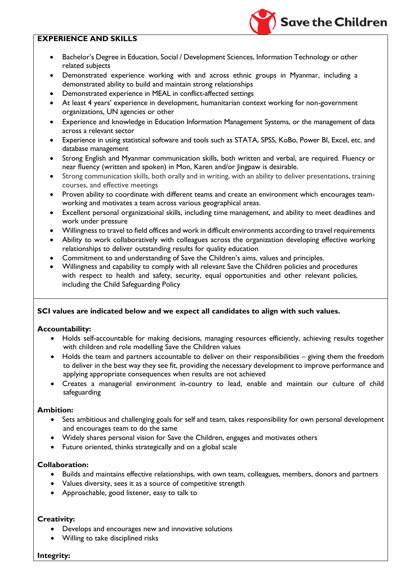## **EXPERIENCE AND SKILLS**

 Bachelor's Degree in Education, Social / Development Sciences, Information Technology or other related subjects

**Save the Children** 

- Demonstrated experience working with and across ethnic groups in Myanmar, including a demonstrated ability to build and maintain strong relationships
- Demonstrated experience in MEAL in conflict-affected settings
- At least 4 years' experience in development, humanitarian context working for non-government organizations, UN agencies or other
- Experience and knowledge in Education Information Management Systems, or the management of data across a relevant sector
- Experience in using statistical software and tools such as STATA, SPSS, KoBo, Power BI, Excel, etc. and database management
- Strong English and Myanmar communication skills, both written and verbal, are required. Fluency or near fluency (written and spoken) in Mon, Karen and/or Jingpaw is desirable.
- Strong communication skills, both orally and in writing, with an ability to deliver presentations, training courses, and effective meetings
- Proven ability to coordinate with different teams and create an environment which encourages teamworking and motivates a team across various geographical areas.
- Excellent personal organizational skills, including time management, and ability to meet deadlines and work under pressure
- Willingness to travel to field offices and work in difficult environments according to travel requirements
- Ability to work collaboratively with colleagues across the organization developing effective working relationships to deliver outstanding results for quality education
- Commitment to and understanding of Save the Children's aims, values and principles.
- Willingness and capability to comply with all relevant Save the Children policies and procedures with respect to health and safety, security, equal opportunities and other relevant policies, including the Child Safeguarding Policy

## **SCI values are indicated below and we expect all candidates to align with such values.**

#### **Accountability:**

- Holds self-accountable for making decisions, managing resources efficiently, achieving results together with children and role modelling Save the Children values
- Holds the team and partners accountable to deliver on their responsibilities giving them the freedom to deliver in the best way they see fit, providing the necessary development to improve performance and applying appropriate consequences when results are not achieved
- Creates a managerial environment in-country to lead, enable and maintain our culture of child safeguarding

#### **Ambition:**

- Sets ambitious and challenging goals for self and team, takes responsibility for own personal development and encourages team to do the same
- Widely shares personal vision for Save the Children, engages and motivates others
- Future oriented, thinks strategically and on a global scale

## **Collaboration:**

- Builds and maintains effective relationships, with own team, colleagues, members, donors and partners
- Values diversity, sees it as a source of competitive strength
- Approachable, good listener, easy to talk to

## **Creativity:**

- Develops and encourages new and innovative solutions
- Willing to take disciplined risks